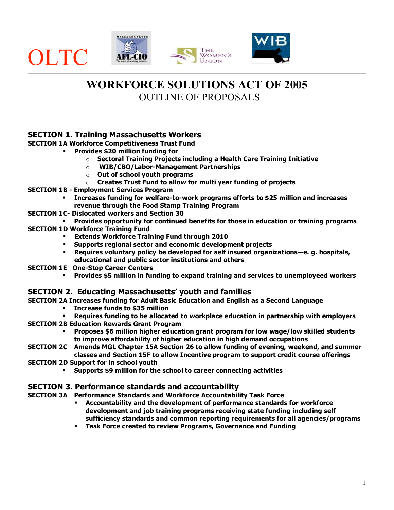

# **WORKFORCE SOLUTIONS ACT OF 2005** OUTLINE OF PROPOSALS

## **SECTION 1. Training Massachusetts Workers**

**SECTION 1A Workforce Competitiveness Trust Fund**

- **Provides \$20 million funding for**
	- o **Sectoral Training Projects including a Health Care Training Initiative**
	- o **WIB/CBO/Labor-Management Partnerships**
	- o **Out of school youth programs**
	- o **Creates Trust Fund to allow for multi year funding of projects**
- **SECTION 1B - Employment Services Program**
	- **Increases funding for welfare-to-work programs efforts to \$25 million and increases revenue through the Food Stamp Training Program**
- **SECTION 1C- Dislocated workers and Section 30**
- **Provides opportunity for continued benefits for those in education or training programs**
- **SECTION 1D Workforce Training Fund** 
	- **Extends Workforce Training Fund through 2010**
	- **Supports regional sector and economic development projects**
	- **Requires voluntary policy be developed for self insured organizations—e. g. hospitals, educational and public sector institutions and others**
- **SECTION 1E One-Stop Career Centers**
	- **Provides \$5 million in funding to expand training and services to unemployeed workers**

## **SECTION 2. Educating Massachusetts' youth and families**

- **SECTION 2A Increases funding for Adult Basic Education and English as a Second Language**
	- **Increase funds to \$35 million**
- **Requires funding to be allocated to workplace education in partnership with employers SECTION 2B Education Rewards Grant Program**
	- **Proposes \$6 million higher education grant program for low wage/low skilled students to improve affordability of higher education in high demand occupations**
- **SECTION 2C Amends MGL Chapter 15A Section 26 to allow funding of evening, weekend, and summer classes and Section 15F to allow Incentive program to support credit course offerings**
- **SECTION 2D Support for in school youth**
	- **Supports \$9 million for the school to career connecting activities**

## **SECTION 3. Performance standards and accountability**

- **SECTION 3A Performance Standards and Workforce Accountability Task Force**
	- **Accountability and the development of performance standards for workforce development and job training programs receiving state funding including self sufficiency standards and common reporting requirements for all agencies/programs**
	- **Task Force created to review Programs, Governance and Funding**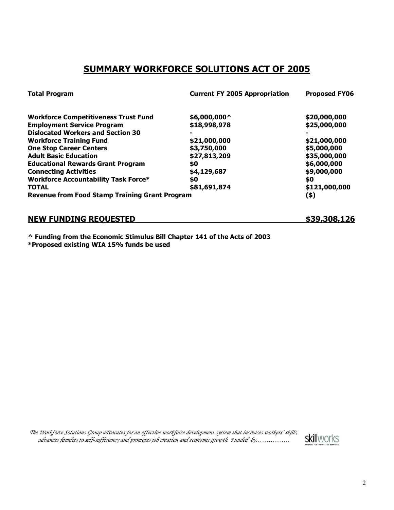# **SUMMARY WORKFORCE SOLUTIONS ACT OF 2005**

| <b>Total Program</b>                                  | <b>Current FY 2005 Appropriation</b> | <b>Proposed FY06</b> |
|-------------------------------------------------------|--------------------------------------|----------------------|
| <b>Workforce Competitiveness Trust Fund</b>           | \$6,000,000^                         | \$20,000,000         |
| <b>Employment Service Program</b>                     | \$18,998,978                         | \$25,000,000         |
| <b>Dislocated Workers and Section 30</b>              |                                      |                      |
| <b>Workforce Training Fund</b>                        | \$21,000,000                         | \$21,000,000         |
| <b>One Stop Career Centers</b>                        | \$3,750,000                          | \$5,000,000          |
| <b>Adult Basic Education</b>                          | \$27,813,209                         | \$35,000,000         |
| <b>Educational Rewards Grant Program</b>              | \$0                                  | \$6,000,000          |
| <b>Connecting Activities</b>                          | \$4,129,687                          | \$9,000,000          |
| <b>Workforce Accountability Task Force*</b>           | \$0                                  | \$0                  |
| <b>TOTAL</b>                                          | \$81,691,874                         | \$121,000,000        |
| <b>Revenue from Food Stamp Training Grant Program</b> |                                      | (\$)                 |

**NEW FUNDING REQUESTED \$39,308,126**

**^ Funding from the Economic Stimulus Bill Chapter 141 of the Acts of 2003 \*Proposed existing WIA 15% funds be used**

*The Workforce Solutions Group advocates for an effective workforce development system that increases workers' skills, advances families to self-sufficiency and promotes job creation and economic growth. Funded by…………….*

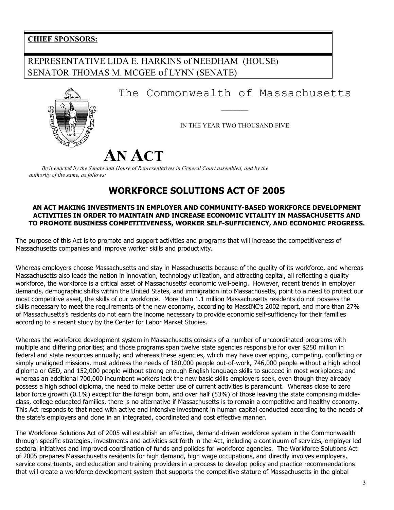## **CHIEF SPONSORS:**

# REPRESENTATIVE LIDA E. HARKINS of NEEDHAM (HOUSE) SENATOR THOMAS M. MCGEE of LYNN (SENATE)

The Commonwealth of Massachusetts

IN THE YEAR TWO THOUSAND FIVE

———————

# **AN ACT**

*Be it enacted by the Senate and House of Representatives in General Court assembled, and by the authority of the same, as follows:*

# **WORKFORCE SOLUTIONS ACT OF 2005**

#### **AN ACT MAKING INVESTMENTS IN EMPLOYER AND COMMUNITY-BASED WORKFORCE DEVELOPMENT ACTIVITIES IN ORDER TO MAINTAIN AND INCREASE ECONOMIC VITALITY IN MASSACHUSETTS AND TO PROMOTE BUSINESS COMPETITIVENESS, WORKER SELF-SUFFICIENCY, AND ECONOMIC PROGRESS.**

The purpose of this Act is to promote and support activities and programs that will increase the competitiveness of Massachusetts companies and improve worker skills and productivity.

Whereas employers choose Massachusetts and stay in Massachusetts because of the quality of its workforce, and whereas Massachusetts also leads the nation in innovation, technology utilization, and attracting capital, all reflecting a quality workforce, the workforce is a critical asset of Massachusetts' economic well-being. However, recent trends in employer demands, demographic shifts within the United States, and immigration into Massachusetts, point to a need to protect our most competitive asset, the skills of our workforce. More than 1.1 million Massachusetts residents do not possess the skills necessary to meet the requirements of the new economy, according to MassINC's 2002 report, and more than 27% of Massachusetts's residents do not earn the income necessary to provide economic self-sufficiency for their families according to a recent study by the Center for Labor Market Studies.

Whereas the workforce development system in Massachusetts consists of a number of uncoordinated programs with multiple and differing priorities; and those programs span twelve state agencies responsible for over \$250 million in federal and state resources annually; and whereas these agencies, which may have overlapping, competing, conflicting or simply unaligned missions, must address the needs of 180,000 people out-of-work, 746,000 people without a high school diploma or GED, and 152,000 people without strong enough English language skills to succeed in most workplaces; and whereas an additional 700,000 incumbent workers lack the new basic skills employers seek, even though they already possess a high school diploma, the need to make better use of current activities is paramount. Whereas close to zero labor force growth (0.1%) except for the foreign born, and over half (53%) of those leaving the state comprising middleclass, college educated families, there is no alternative if Massachusetts is to remain a competitive and healthy economy. This Act responds to that need with active and intensive investment in human capital conducted according to the needs of the state's employers and done in an integrated, coordinated and cost effective manner.

The Workforce Solutions Act of 2005 will establish an effective, demand-driven workforce system in the Commonwealth through specific strategies, investments and activities set forth in the Act, including a continuum of services, employer led sectoral initiatives and improved coordination of funds and policies for workforce agencies. The Workforce Solutions Act of 2005 prepares Massachusetts residents for high demand, high wage occupations, and directly involves employers, service constituents, and education and training providers in a process to develop policy and practice recommendations that will create a workforce development system that supports the competitive stature of Massachusetts in the global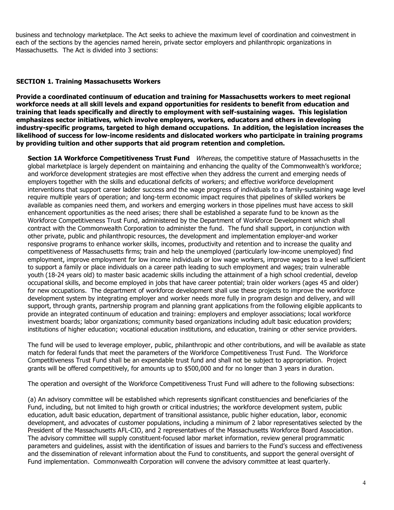business and technology marketplace. The Act seeks to achieve the maximum level of coordination and coinvestment in each of the sections by the agencies named herein, private sector employers and philanthropic organizations in Massachusetts. The Act is divided into 3 sections:

#### **SECTION 1. Training Massachusetts Workers**

**Provide a coordinated continuum of education and training for Massachusetts workers to meet regional workforce needs at all skill levels and expand opportunities for residents to benefit from education and training that leads specifically and directly to employment with self-sustaining wages. This legislation emphasizes sector initiatives, which involve employers, workers, educators and others in developing industry-specific programs, targeted to high demand occupations. In addition, the legislation increases the likelihood of success for low-income residents and dislocated workers who participate in training programs by providing tuition and other supports that aid program retention and completion.**

**Section 1A Workforce Competitiveness Trust Fund** Whereas, the competitive stature of Massachusetts in the global marketplace is largely dependent on maintaining and enhancing the quality of the Commonwealth's workforce; and workforce development strategies are most effective when they address the current and emerging needs of employers together with the skills and educational deficits of workers; and effective workforce development interventions that support career ladder success and the wage progress of individuals to a family-sustaining wage level require multiple years of operation; and long-term economic impact requires that pipelines of skilled workers be available as companies need them, and workers and emerging workers in those pipelines must have access to skill enhancement opportunities as the need arises; there shall be established a separate fund to be known as the Workforce Competitiveness Trust Fund, administered by the Department of Workforce Development which shall contract with the Commonwealth Corporation to administer the fund. The fund shall support, in conjunction with other private, public and philanthropic resources, the development and implementation employer-and worker responsive programs to enhance worker skills, incomes, productivity and retention and to increase the quality and competitiveness of Massachusetts firms; train and help the unemployed (particularly low-income unemployed) find employment, improve employment for low income individuals or low wage workers, improve wages to a level sufficient to support a family or place individuals on a career path leading to such employment and wages; train vulnerable youth (18-24 years old) to master basic academic skills including the attainment of a high school credential, develop occupational skills, and become employed in jobs that have career potential; train older workers (ages 45 and older) for new occupations. The department of workforce development shall use these projects to improve the workforce development system by integrating employer and worker needs more fully in program design and delivery, and will support, through grants, partnership program and planning grant applications from the following eligible applicants to provide an integrated continuum of education and training: employers and employer associations; local workforce investment boards; labor organizations; community based organizations including adult basic education providers; institutions of higher education; vocational education institutions, and education, training or other service providers.

The fund will be used to leverage employer, public, philanthropic and other contributions, and will be available as state match for federal funds that meet the parameters of the Workforce Competitiveness Trust Fund. The Workforce Competitiveness Trust Fund shall be an expendable trust fund and shall not be subject to appropriation. Project grants will be offered competitively, for amounts up to \$500,000 and for no longer than 3 years in duration.

The operation and oversight of the Workforce Competitiveness Trust Fund will adhere to the following subsections:

(a) An advisory committee will be established which represents significant constituencies and beneficiaries of the Fund, including, but not limited to high growth or critical industries; the workforce development system, public education, adult basic education, department of transitional assistance, public higher education, labor, economic development, and advocates of customer populations, including a minimum of 2 labor representatives selected by the President of the Massachusetts AFL-CIO, and 2 representatives of the Massachusetts Workforce Board Association. The advisory committee will supply constituent-focused labor market information, review general programmatic parameters and guidelines, assist with the identification of issues and barriers to the Fund's success and effectiveness and the dissemination of relevant information about the Fund to constituents, and support the general oversight of Fund implementation. Commonwealth Corporation will convene the advisory committee at least quarterly.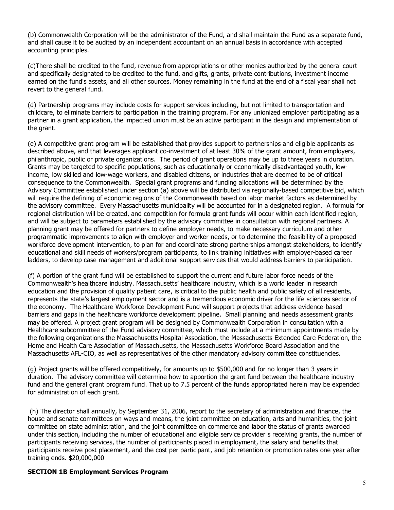(b) Commonwealth Corporation will be the administrator of the Fund, and shall maintain the Fund as a separate fund, and shall cause it to be audited by an independent accountant on an annual basis in accordance with accepted accounting principles.

(c)There shall be credited to the fund, revenue from appropriations or other monies authorized by the general court and specifically designated to be credited to the fund, and gifts, grants, private contributions, investment income earned on the fund's assets, and all other sources. Money remaining in the fund at the end of a fiscal year shall not revert to the general fund.

(d) Partnership programs may include costs for support services including, but not limited to transportation and childcare, to eliminate barriers to participation in the training program. For any unionized employer participating as a partner in a grant application, the impacted union must be an active participant in the design and implementation of the grant.

(e) A competitive grant program will be established that provides support to partnerships and eligible applicants as described above, and that leverages applicant co-investment of at least 30% of the grant amount, from employers, philanthropic, public or private organizations. The period of grant operations may be up to three years in duration. Grants may be targeted to specific populations, such as educationally or economically disadvantaged youth, lowincome, low skilled and low-wage workers, and disabled citizens, or industries that are deemed to be of critical consequence to the Commonwealth. Special grant programs and funding allocations will be determined by the Advisory Committee established under section (a) above will be distributed via regionally-based competitive bid, which will require the defining of economic regions of the Commonwealth based on labor market factors as determined by the advisory committee. Every Massachusetts municipality will be accounted for in a designated region. A formula for regional distribution will be created, and competition for formula grant funds will occur within each identified region, and will be subject to parameters established by the advisory committee in consultation with regional partners. A planning grant may be offered for partners to define employer needs, to make necessary curriculum and other programmatic improvements to align with employer and worker needs, or to determine the feasibility of a proposed workforce development intervention, to plan for and coordinate strong partnerships amongst stakeholders, to identify educational and skill needs of workers/program participants, to link training initiatives with employer-based career ladders, to develop case management and additional support services that would address barriers to participation.

(f) A portion of the grant fund will be established to support the current and future labor force needs of the Commonwealth's healthcare industry. Massachusetts' healthcare industry, which is a world leader in research education and the provision of quality patient care, is critical to the public health and public safety of all residents, represents the state's largest employment sector and is a tremendous economic driver for the life sciences sector of the economy. The Healthcare Workforce Development Fund will support projects that address evidence-based barriers and gaps in the healthcare workforce development pipeline. Small planning and needs assessment grants may be offered. A project grant program will be designed by Commonwealth Corporation in consultation with a Healthcare subcommittee of the Fund advisory committee, which must include at a minimum appointments made by the following organizations the Massachusetts Hospital Association, the Massachusetts Extended Care Federation, the Home and Health Care Association of Massachusetts, the Massachusetts Workforce Board Association and the Massachusetts AFL-CIO, as well as representatives of the other mandatory advisory committee constituencies.

(g) Project grants will be offered competitively, for amounts up to \$500,000 and for no longer than 3 years in duration.The advisory committee will determine how to apportion the grant fund between the healthcare industry fund and the general grant program fund. That up to 7.5 percent of the funds appropriated herein may be expended for administration of each grant.

(h) The director shall annually, by September 31, 2006, report to the secretary of administration and finance, the house and senate committees on ways and means, the joint committee on education, arts and humanities, the joint committee on state administration, and the joint committee on commerce and labor the status of grants awarded under this section, including the number of educational and eligible service provider s receiving grants, the number of participants receiving services, the number of participants placed in employment, the salary and benefits that participants receive post placement, and the cost per participant, and job retention or promotion rates one year after training ends. \$20,000,000

#### **SECTION 1B Employment Services Program**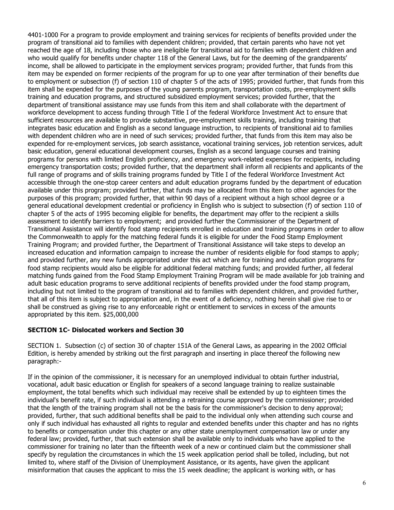4401-1000 For a program to provide employment and training services for recipients of benefits provided under the program of transitional aid to families with dependent children; provided, that certain parents who have not yet reached the age of 18, including those who are ineligible for transitional aid to families with dependent children and who would qualify for benefits under chapter 118 of the General Laws, but for the deeming of the grandparents' income, shall be allowed to participate in the employment services program; provided further, that funds from this item may be expended on former recipients of the program for up to one year after termination of their benefits due to employment or subsection (f) of section 110 of chapter 5 of the acts of 1995; provided further, that funds from this item shall be expended for the purposes of the young parents program, transportation costs, pre-employment skills training and education programs, and structured subsidized employment services; provided further, that the department of transitional assistance may use funds from this item and shall collaborate with the department of workforce development to access funding through Title I of the federal Workforce Investment Act to ensure that sufficient resources are available to provide substantive, pre-employment skills training, including training that integrates basic education and English as a second language instruction, to recipients of transitional aid to families with dependent children who are in need of such services; provided further, that funds from this item may also be expended for re-employment services, job search assistance, vocational training services, job retention services, adult basic education, general educational development courses, English as a second language courses and training programs for persons with limited English proficiency, and emergency work-related expenses for recipients, including emergency transportation costs; provided further, that the department shall inform all recipients and applicants of the full range of programs and of skills training programs funded by Title I of the federal Workforce Investment Act accessible through the one-stop career centers and adult education programs funded by the department of education available under this program; provided further, that funds may be allocated from this item to other agencies for the purposes of this program; provided further, that within 90 days of a recipient without a high school degree or a general educational development credential or proficiency in English who is subject to subsection (f) of section 110 of chapter 5 of the acts of 1995 becoming eligible for benefits, the department may offer to the recipient a skills assessment to identify barriers to employment; and provided further the Commissioner of the Department of Transitional Assistance will identify food stamp recipients enrolled in education and training programs in order to allow the Commonwealth to apply for the matching federal funds it is eligible for under the Food Stamp Employment Training Program; and provided further, the Department of Transitional Assistance will take steps to develop an increased education and information campaign to increase the number of residents eligible for food stamps to apply; and provided further, any new funds appropriated under this act which are for training and education programs for food stamp recipients would also be eligible for additional federal matching funds; and provided further, all federal matching funds gained from the Food Stamp Employment Training Program will be made available for job training and adult basic education programs to serve additional recipients of benefits provided under the food stamp program, including but not limited to the program of transitional aid to families with dependent children, and provided further, that all of this item is subject to appropriation and, in the event of a deficiency, nothing herein shall give rise to or shall be construed as giving rise to any enforceable right or entitlement to services in excess of the amounts appropriated by this item. \$25,000,000

#### **SECTION 1C- Dislocated workers and Section 30**

SECTION 1. Subsection (c) of section 30 of chapter 151A of the General Laws, as appearing in the 2002 Official Edition, is hereby amended by striking out the first paragraph and inserting in place thereof the following new paragraph:-

If in the opinion of the commissioner, it is necessary for an unemployed individual to obtain further industrial, vocational, adult basic education or English for speakers of a second language training to realize sustainable employment, the total benefits which such individual may receive shall be extended by up to eighteen times the individual's benefit rate, if such individual is attending a retraining course approved by the commissioner; provided that the length of the training program shall not be the basis for the commissioner's decision to deny approval; provided, further, that such additional benefits shall be paid to the individual only when attending such course and only if such individual has exhausted all rights to regular and extended benefits under this chapter and has no rights to benefits or compensation under this chapter or any other state unemployment compensation law or under any federal law; provided, further, that such extension shall be available only to individuals who have applied to the commissioner for training no later than the fifteenth week of a new or continued claim but the commissioner shall specify by regulation the circumstances in which the 15 week application period shall be tolled, including, but not limited to, where staff of the Division of Unemployment Assistance, or its agents, have given the applicant misinformation that causes the applicant to miss the 15 week deadline; the applicant is working with, or has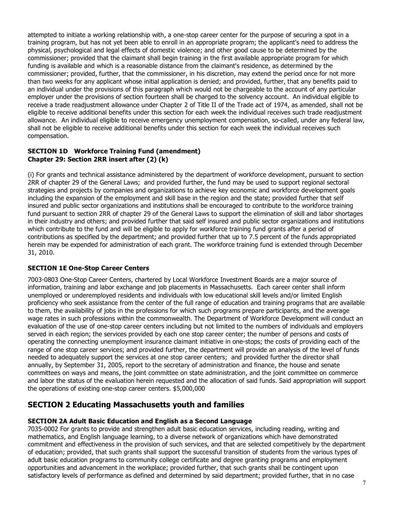attempted to initiate a working relationship with, a one-stop career center for the purpose of securing a spot in a training program, but has not yet been able to enroll in an appropriate program; the applicant's need to address the physical, psychological and legal effects of domestic violence; and other good cause to be determined by the commissioner; provided that the claimant shall begin training in the first available appropriate program for which funding is available and which is a reasonable distance from the claimant's residence, as determined by the commissioner; provided, further, that the commissioner, in his discretion, may extend the period once for not more than two weeks for any applicant whose initial application is denied; and provided, further, that any benefits paid to an individual under the provisions of this paragraph which would not be chargeable to the account of any particular employer under the provisions of section fourteen shall be charged to the solvency account. An individual eligible to receive a trade readjustment allowance under Chapter 2 of Title II of the Trade act of 1974, as amended, shall not be eligible to receive additional benefits under this section for each week the individual receives such trade readjustment allowance. An individual eligible to receive emergency unemployment compensation, so-called, under any federal law, shall not be eligible to receive additional benefits under this section for each week the individual receives such compensation.

#### **SECTION 1D Workforce Training Fund (amendment) Chapter 29: Section 2RR insert after (2) (k)**

(i) For grants and technical assistance administered by the department of workforce development, pursuant to section 2RR of chapter 29 of the General Laws; and provided further, the fund may be used to support regional sectoral strategies and projects by companies and organizations to achieve key economic and workforce development goals including the expansion of the employment and skill base in the region and the state; provided further that self insured and public sector organizations and institutions shall be encouraged to contribute to the workforce training fund pursuant to section 2RR of chapter 29 of the General Laws to support the elimination of skill and labor shortages in their industry and others; and provided further that said self insured and public sector organizations and institutions which contribute to the fund and will be eligible to apply for workforce training fund grants after a period of contributions as specified by the department; and provided further that up to 7.5 percent of the funds appropriated herein may be expended for administration of each grant. The workforce training fund is extended through December 31, 2010.

#### **SECTION 1E One-Stop Career Centers**

7003-0803 One-Stop Career Centers, chartered by Local Workforce Investment Boards are a major source of information, training and labor exchange and job placements in Massachusetts. Each career center shall inform unemployed or underemployed residents and individuals with low educational skill levels and/or limited English proficiency who seek assistance from the center of the full range of education and training programs that are available to them, the availability of jobs in the professions for which such programs prepare participants, and the average wage rates in such professions within the commonwealth. The Department of Workforce Development will conduct an evaluation of the use of one-stop career centers including but not limited to the numbers of individuals and employers served in each region; the services provided by each one stop career center; the number of persons and costs of operating the connecting unemployment insurance claimant initiative in one-stops; the costs of providing each of the range of one stop career services; and provided further, the department will provide an analysis of the level of funds needed to adequately support the services at one stop career centers; and provided further the director shall annually, by September 31, 2005, report to the secretary of administration and finance, the house and senate committees on ways and means, the joint committee on state administration, and the joint committee on commerce and labor the status of the evaluation herein requested and the allocation of said funds. Said appropriation will support the operations of existing one-stop career centers. \$5,000,000

# **SECTION 2 Educating Massachusetts youth and families**

#### **SECTION 2A Adult Basic Education and English as a Second Language**

7035-0002 For grants to provide and strengthen adult basic education services, including reading, writing and mathematics, and English language learning, to a diverse network of organizations which have demonstrated commitment and effectiveness in the provision of such services, and that are selected competitively by the department of education; provided, that such grants shall support the successful transition of students from the various types of adult basic education programs to community college certificate and degree granting programs and employment opportunities and advancement in the workplace; provided further, that such grants shall be contingent upon satisfactory levels of performance as defined and determined by said department; provided further, that in no case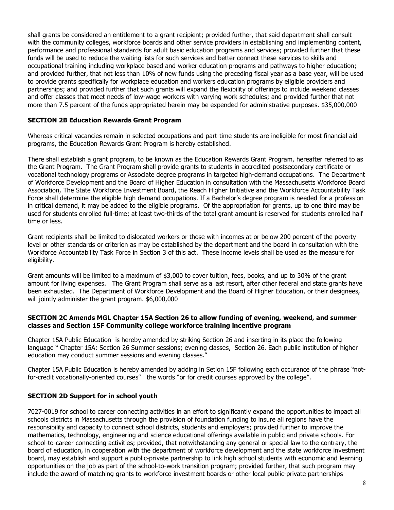shall grants be considered an entitlement to a grant recipient; provided further, that said department shall consult with the community colleges, workforce boards and other service providers in establishing and implementing content, performance and professional standards for adult basic education programs and services; provided further that these funds will be used to reduce the waiting lists for such services and better connect these services to skills and occupational training including workplace based and worker education programs and pathways to higher education; and provided further, that not less than 10% of new funds using the preceding fiscal year as a base year, will be used to provide grants specifically for workplace education and workers education programs by eligible providers and partnerships; and provided further that such grants will expand the flexibility of offerings to include weekend classes and offer classes that meet needs of low-wage workers with varying work schedules; and provided further that not more than 7.5 percent of the funds appropriated herein may be expended for administrative purposes. \$35,000,000

#### **SECTION 2B Education Rewards Grant Program**

Whereas critical vacancies remain in selected occupations and part-time students are ineligible for most financial aid programs, the Education Rewards Grant Program is hereby established.

There shall establish a grant program, to be known as the Education Rewards Grant Program, hereafter referred to as the Grant Program. The Grant Program shall provide grants to students in accredited postsecondary certificate or vocational technology programs or Associate degree programs in targeted high-demand occupations. The Department of Workforce Development and the Board of Higher Education in consultation with the Massachusetts Workforce Board Association, The State Workforce Investment Board, the Reach Higher Initiative and the Workforce Accountability Task Force shall determine the eligible high demand occupations. If a Bachelor's degree program is needed for a profession in critical demand, it may be added to the eligible programs. Of the appropriation for grants, up to one third may be used for students enrolled full-time; at least two-thirds of the total grant amount is reserved for students enrolled half time or less.

Grant recipients shall be limited to dislocated workers or those with incomes at or below 200 percent of the poverty level or other standards or criterion as may be established by the department and the board in consultation with the Workforce Accountability Task Force in Section 3 of this act. These income levels shall be used as the measure for eligibility.

Grant amounts will be limited to a maximum of \$3,000 to cover tuition, fees, books, and up to 30% of the grant amount for living expenses. The Grant Program shall serve as a last resort, after other federal and state grants have been exhausted. The Department of Workforce Development and the Board of Higher Education, or their designees, will jointly administer the grant program. \$6,000,000

#### **SECTION 2C Amends MGL Chapter 15A Section 26 to allow funding of evening, weekend, and summer classes and Section 15F Community college workforce training incentive program**

Chapter 15A Public Education is hereby amended by striking Section 26 and inserting in its place the following language " Chapter 15A: Section 26 Summer sessions; evening classes, Section 26. Each public institution of higher education may conduct summer sessions and evening classes."

Chapter 15A Public Education is hereby amended by adding in Setion 15F following each occurance of the phrase "notfor-credit vocationally-oriented courses" the words "or for credit courses approved by the college".

#### **SECTION 2D Support for in school youth**

7027-0019 for school to career connecting activities in an effort to significantly expand the opportunities to impact all schools districts in Massachusetts through the provision of foundation funding to insure all regions have the responsibility and capacity to connect school districts, students and employers; provided further to improve the mathematics, technology, engineering and science educational offerings available in public and private schools. For school-to-career connecting activities; provided, that notwithstanding any general or special law to the contrary, the board of education, in cooperation with the department of workforce development and the state workforce investment board, may establish and support a public-private partnership to link high school students with economic and learning opportunities on the job as part of the school-to-work transition program; provided further, that such program may include the award of matching grants to workforce investment boards or other local public-private partnerships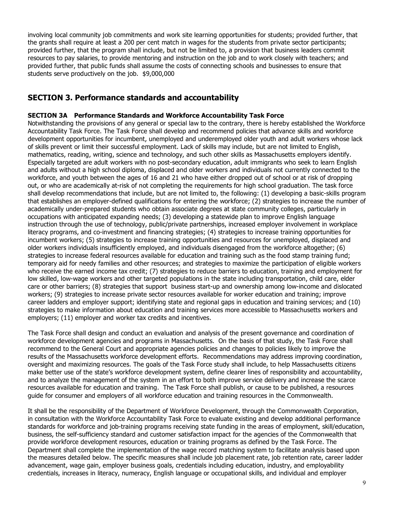involving local community job commitments and work site learning opportunities for students; provided further, that the grants shall require at least a 200 per cent match in wages for the students from private sector participants; provided further, that the program shall include, but not be limited to, a provision that business leaders commit resources to pay salaries, to provide mentoring and instruction on the job and to work closely with teachers; and provided further, that public funds shall assume the costs of connecting schools and businesses to ensure that students serve productively on the job. \$9,000,000

## **SECTION 3. Performance standards and accountability**

#### **SECTION 3A Performance Standards and Workforce Accountability Task Force**

Notwithstanding the provisions of any general or special law to the contrary, there is hereby established the Workforce Accountability Task Force. The Task Force shall develop and recommend policies that advance skills and workforce development opportunities for incumbent, unemployed and underemployed older youth and adult workers whose lack of skills prevent or limit their successful employment. Lack of skills may include, but are not limited to English, mathematics, reading, writing, science and technology, and such other skills as Massachusetts employers identify. Especially targeted are adult workers with no post-secondary education, adult immigrants who seek to learn English and adults without a high school diploma, displaced and older workers and individuals not currently connected to the workforce, and youth between the ages of 16 and 21 who have either dropped out of school or at risk of dropping out, or who are academically at-risk of not completing the requirements for high school graduation. The task force shall develop recommendations that include, but are not limited to, the following: (1) developing a basic-skills program that establishes an employer-defined qualifications for entering the workforce; (2) strategies to increase the number of academically under-prepared students who obtain associate degrees at state community colleges, particularly in occupations with anticipated expanding needs; (3) developing a statewide plan to improve English language instruction through the use of technology, public/private partnerships, increased employer involvement in workplace literacy programs, and co-investment and financing strategies; (4) strategies to increase training opportunities for incumbent workers; (5) strategies to increase training opportunities and resources for unemployed, displaced and older workers individuals insufficiently employed, and individuals disengaged from the workforce altogether; (6) strategies to increase federal resources available for education and training such as the food stamp training fund; temporary aid for needy families and other resources; and strategies to maximize the participation of eligible workers who receive the earned income tax credit; (7) strategies to reduce barriers to education, training and employment for low skilled, low-wage workers and other targeted populations in the state including transportation, child care, elder care or other barriers; (8) strategies that support business start-up and ownership among low-income and dislocated workers; (9) strategies to increase private sector resources available for worker education and training; improve career ladders and employer support; identifying state and regional gaps in education and training services; and (10) strategies to make information about education and training services more accessible to Massachusetts workers and employers; (11) employer and worker tax credits and incentives.

The Task Force shall design and conduct an evaluation and analysis of the present governance and coordination of workforce development agencies and programs in Massachusetts. On the basis of that study, the Task Force shall recommend to the General Court and appropriate agencies policies and changes to policies likely to improve the results of the Massachusetts workforce development efforts. Recommendations may address improving coordination, oversight and maximizing resources. The goals of the Task Force study shall include, to help Massachusetts citizens make better use of the state's workforce development system, define clearer lines of responsibility and accountability, and to analyze the management of the system in an effort to both improve service delivery and increase the scarce resources available for education and training. The Task Force shall publish, or cause to be published, a resources guide for consumer and employers of all workforce education and training resources in the Commonwealth.

It shall be the responsibility of the Department of Workforce Development, through the Commonwealth Corporation, in consultation with the Workforce Accountability Task Force to evaluate existing and develop additional performance standards for workforce and job-training programs receiving state funding in the areas of employment, skill/education, business, the self-sufficiency standard and customer satisfaction impact for the agencies of the Commonwealth that provide workforce development resources, education or training programs as defined by the Task Force. The Department shall complete the implementation of the wage record matching system to facilitate analysis based upon the measures detailed below. The specific measures shall include job placement rate, job retention rate, career ladder advancement, wage gain, employer business goals, credentials including education, industry, and employability credentials, increases in literacy, numeracy, English language or occupational skills, and individual and employer